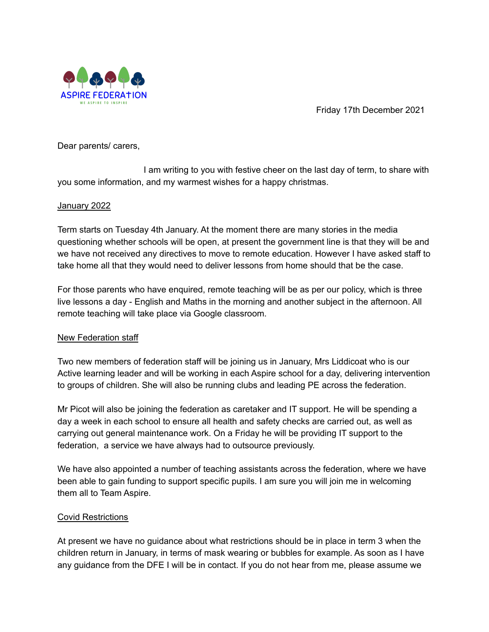

Friday 17th December 2021

Dear parents/ carers,

I am writing to you with festive cheer on the last day of term, to share with you some information, and my warmest wishes for a happy christmas.

### January 2022

Term starts on Tuesday 4th January. At the moment there are many stories in the media questioning whether schools will be open, at present the government line is that they will be and we have not received any directives to move to remote education. However I have asked staff to take home all that they would need to deliver lessons from home should that be the case.

For those parents who have enquired, remote teaching will be as per our policy, which is three live lessons a day - English and Maths in the morning and another subject in the afternoon. All remote teaching will take place via Google classroom.

## New Federation staff

Two new members of federation staff will be joining us in January, Mrs Liddicoat who is our Active learning leader and will be working in each Aspire school for a day, delivering intervention to groups of children. She will also be running clubs and leading PE across the federation.

Mr Picot will also be joining the federation as caretaker and IT support. He will be spending a day a week in each school to ensure all health and safety checks are carried out, as well as carrying out general maintenance work. On a Friday he will be providing IT support to the federation, a service we have always had to outsource previously.

We have also appointed a number of teaching assistants across the federation, where we have been able to gain funding to support specific pupils. I am sure you will join me in welcoming them all to Team Aspire.

## Covid Restrictions

At present we have no guidance about what restrictions should be in place in term 3 when the children return in January, in terms of mask wearing or bubbles for example. As soon as I have any guidance from the DFE I will be in contact. If you do not hear from me, please assume we